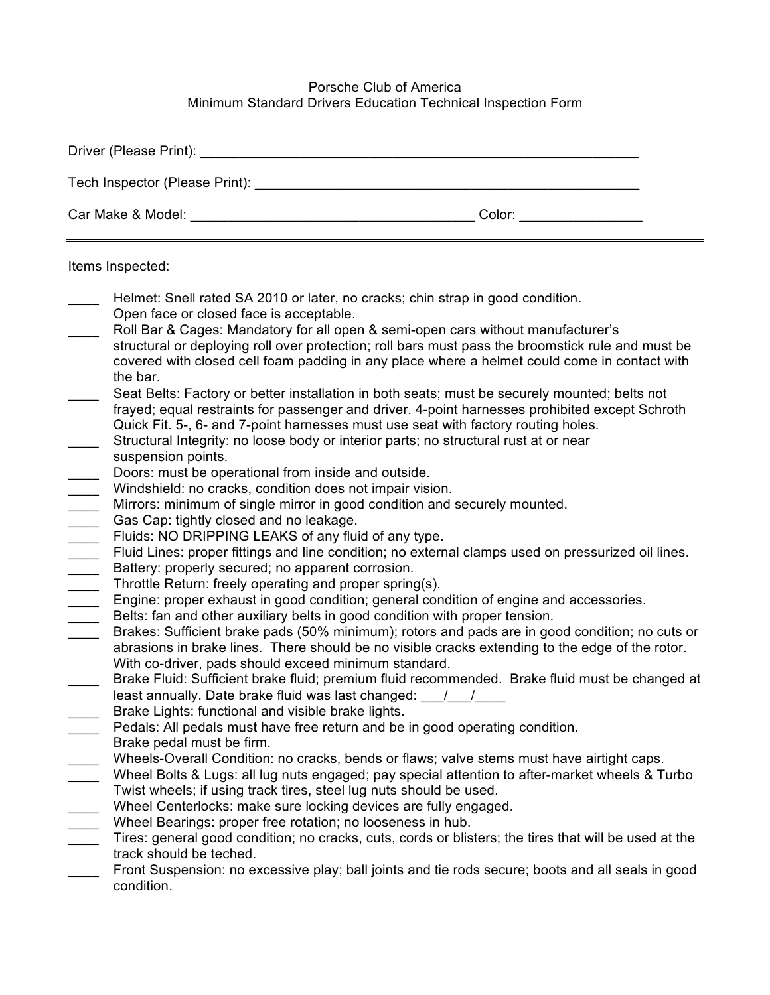## Porsche Club of America Minimum Standard Drivers Education Technical Inspection Form

| Driver (Please Print): Note and the set of the set of the set of the set of the set of the set of the set of the set of the set of the set of the set of the set of the set of the set of the set of the set of the set of the                                                                                                                                                                                                                                                                                                                                                                                                                                                                                                                                                                                                                                                                                                                                                                                                                                                                                                                                                                                                                                                                                                                                                                                                                                                                                                                                                                                                                                                                                                                                                                                                                                                                                                                                                                                                                                                                                                                                                                                                                                                                                                                                                                                                                                                                                                                                                                                                                                                                                                                                                                                  |  |  |  |  |
|-----------------------------------------------------------------------------------------------------------------------------------------------------------------------------------------------------------------------------------------------------------------------------------------------------------------------------------------------------------------------------------------------------------------------------------------------------------------------------------------------------------------------------------------------------------------------------------------------------------------------------------------------------------------------------------------------------------------------------------------------------------------------------------------------------------------------------------------------------------------------------------------------------------------------------------------------------------------------------------------------------------------------------------------------------------------------------------------------------------------------------------------------------------------------------------------------------------------------------------------------------------------------------------------------------------------------------------------------------------------------------------------------------------------------------------------------------------------------------------------------------------------------------------------------------------------------------------------------------------------------------------------------------------------------------------------------------------------------------------------------------------------------------------------------------------------------------------------------------------------------------------------------------------------------------------------------------------------------------------------------------------------------------------------------------------------------------------------------------------------------------------------------------------------------------------------------------------------------------------------------------------------------------------------------------------------------------------------------------------------------------------------------------------------------------------------------------------------------------------------------------------------------------------------------------------------------------------------------------------------------------------------------------------------------------------------------------------------------------------------------------------------------------------------------------------------|--|--|--|--|
|                                                                                                                                                                                                                                                                                                                                                                                                                                                                                                                                                                                                                                                                                                                                                                                                                                                                                                                                                                                                                                                                                                                                                                                                                                                                                                                                                                                                                                                                                                                                                                                                                                                                                                                                                                                                                                                                                                                                                                                                                                                                                                                                                                                                                                                                                                                                                                                                                                                                                                                                                                                                                                                                                                                                                                                                                 |  |  |  |  |
|                                                                                                                                                                                                                                                                                                                                                                                                                                                                                                                                                                                                                                                                                                                                                                                                                                                                                                                                                                                                                                                                                                                                                                                                                                                                                                                                                                                                                                                                                                                                                                                                                                                                                                                                                                                                                                                                                                                                                                                                                                                                                                                                                                                                                                                                                                                                                                                                                                                                                                                                                                                                                                                                                                                                                                                                                 |  |  |  |  |
| Items Inspected:                                                                                                                                                                                                                                                                                                                                                                                                                                                                                                                                                                                                                                                                                                                                                                                                                                                                                                                                                                                                                                                                                                                                                                                                                                                                                                                                                                                                                                                                                                                                                                                                                                                                                                                                                                                                                                                                                                                                                                                                                                                                                                                                                                                                                                                                                                                                                                                                                                                                                                                                                                                                                                                                                                                                                                                                |  |  |  |  |
| Helmet: Snell rated SA 2010 or later, no cracks; chin strap in good condition.<br>Open face or closed face is acceptable.<br>Roll Bar & Cages: Mandatory for all open & semi-open cars without manufacturer's<br>structural or deploying roll over protection; roll bars must pass the broomstick rule and must be<br>covered with closed cell foam padding in any place where a helmet could come in contact with<br>the bar.<br>Seat Belts: Factory or better installation in both seats; must be securely mounted; belts not<br>frayed; equal restraints for passenger and driver. 4-point harnesses prohibited except Schroth<br>Quick Fit. 5-, 6- and 7-point harnesses must use seat with factory routing holes.<br>Structural Integrity: no loose body or interior parts; no structural rust at or near<br>suspension points.<br>Doors: must be operational from inside and outside.<br>Windshield: no cracks, condition does not impair vision.<br>Mirrors: minimum of single mirror in good condition and securely mounted.<br>Gas Cap: tightly closed and no leakage.<br>Fluids: NO DRIPPING LEAKS of any fluid of any type.<br>Fluid Lines: proper fittings and line condition; no external clamps used on pressurized oil lines.<br>Battery: properly secured; no apparent corrosion.<br>Throttle Return: freely operating and proper spring(s).<br>Engine: proper exhaust in good condition; general condition of engine and accessories.<br>Belts: fan and other auxiliary belts in good condition with proper tension.<br>Brakes: Sufficient brake pads (50% minimum); rotors and pads are in good condition; no cuts or<br>abrasions in brake lines. There should be no visible cracks extending to the edge of the rotor.<br>With co-driver, pads should exceed minimum standard.<br>Brake Fluid: Sufficient brake fluid; premium fluid recommended. Brake fluid must be changed at<br>least annually. Date brake fluid was last changed: $\frac{1}{\sqrt{2}}$<br>Brake Lights: functional and visible brake lights.<br>Pedals: All pedals must have free return and be in good operating condition.<br>Brake pedal must be firm.<br>Wheels-Overall Condition: no cracks, bends or flaws; valve stems must have airtight caps.<br>Wheel Bolts & Lugs: all lug nuts engaged; pay special attention to after-market wheels & Turbo<br>Twist wheels; if using track tires, steel lug nuts should be used.<br>Wheel Centerlocks: make sure locking devices are fully engaged.<br>Wheel Bearings: proper free rotation; no looseness in hub.<br>Tires: general good condition; no cracks, cuts, cords or blisters; the tires that will be used at the<br>track should be teched.<br>Front Suspension: no excessive play; ball joints and tie rods secure; boots and all seals in good<br>condition. |  |  |  |  |